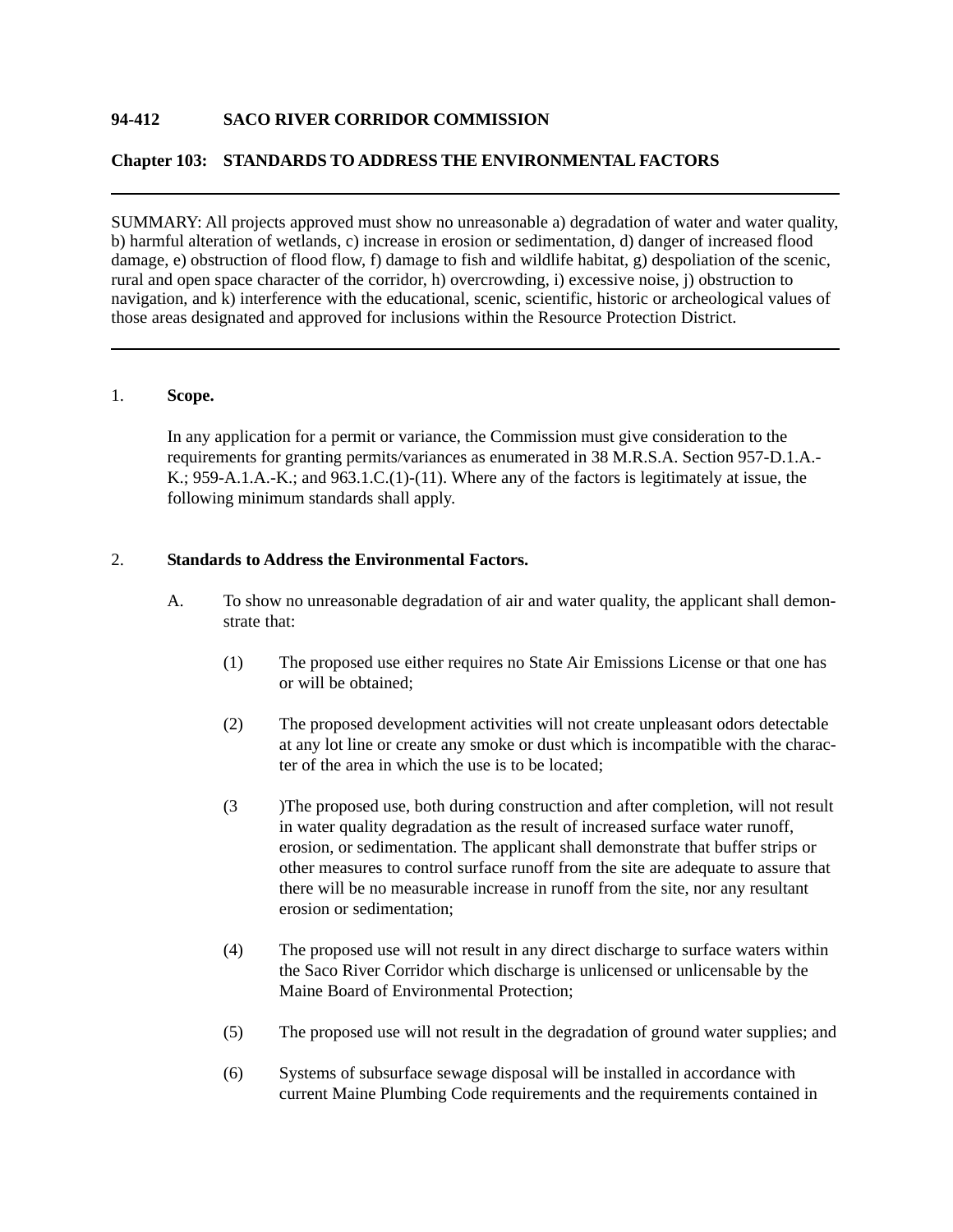# **94-412 SACO RIVER CORRIDOR COMMISSION**

# **Chapter 103: STANDARDS TO ADDRESS THE ENVIRONMENTAL FACTORS**

SUMMARY: All projects approved must show no unreasonable a) degradation of water and water quality, b) harmful alteration of wetlands, c) increase in erosion or sedimentation, d) danger of increased flood damage, e) obstruction of flood flow, f) damage to fish and wildlife habitat, g) despoliation of the scenic, rural and open space character of the corridor, h) overcrowding, i) excessive noise, j) obstruction to navigation, and k) interference with the educational, scenic, scientific, historic or archeological values of those areas designated and approved for inclusions within the Resource Protection District.

### 1. **Scope.**

In any application for a permit or variance, the Commission must give consideration to the requirements for granting permits/variances as enumerated in 38 M.R.S.A. Section 957-D.1.A.- K.; 959-A.1.A.-K.; and 963.1.C.(1)-(11). Where any of the factors is legitimately at issue, the following minimum standards shall apply.

### 2. **Standards to Address the Environmental Factors.**

- A. To show no unreasonable degradation of air and water quality, the applicant shall demonstrate that:
	- (1) The proposed use either requires no State Air Emissions License or that one has or will be obtained;
	- (2) The proposed development activities will not create unpleasant odors detectable at any lot line or create any smoke or dust which is incompatible with the character of the area in which the use is to be located;
	- (3 )The proposed use, both during construction and after completion, will not result in water quality degradation as the result of increased surface water runoff, erosion, or sedimentation. The applicant shall demonstrate that buffer strips or other measures to control surface runoff from the site are adequate to assure that there will be no measurable increase in runoff from the site, nor any resultant erosion or sedimentation;
	- (4) The proposed use will not result in any direct discharge to surface waters within the Saco River Corridor which discharge is unlicensed or unlicensable by the Maine Board of Environmental Protection;
	- (5) The proposed use will not result in the degradation of ground water supplies; and
	- (6) Systems of subsurface sewage disposal will be installed in accordance with current Maine Plumbing Code requirements and the requirements contained in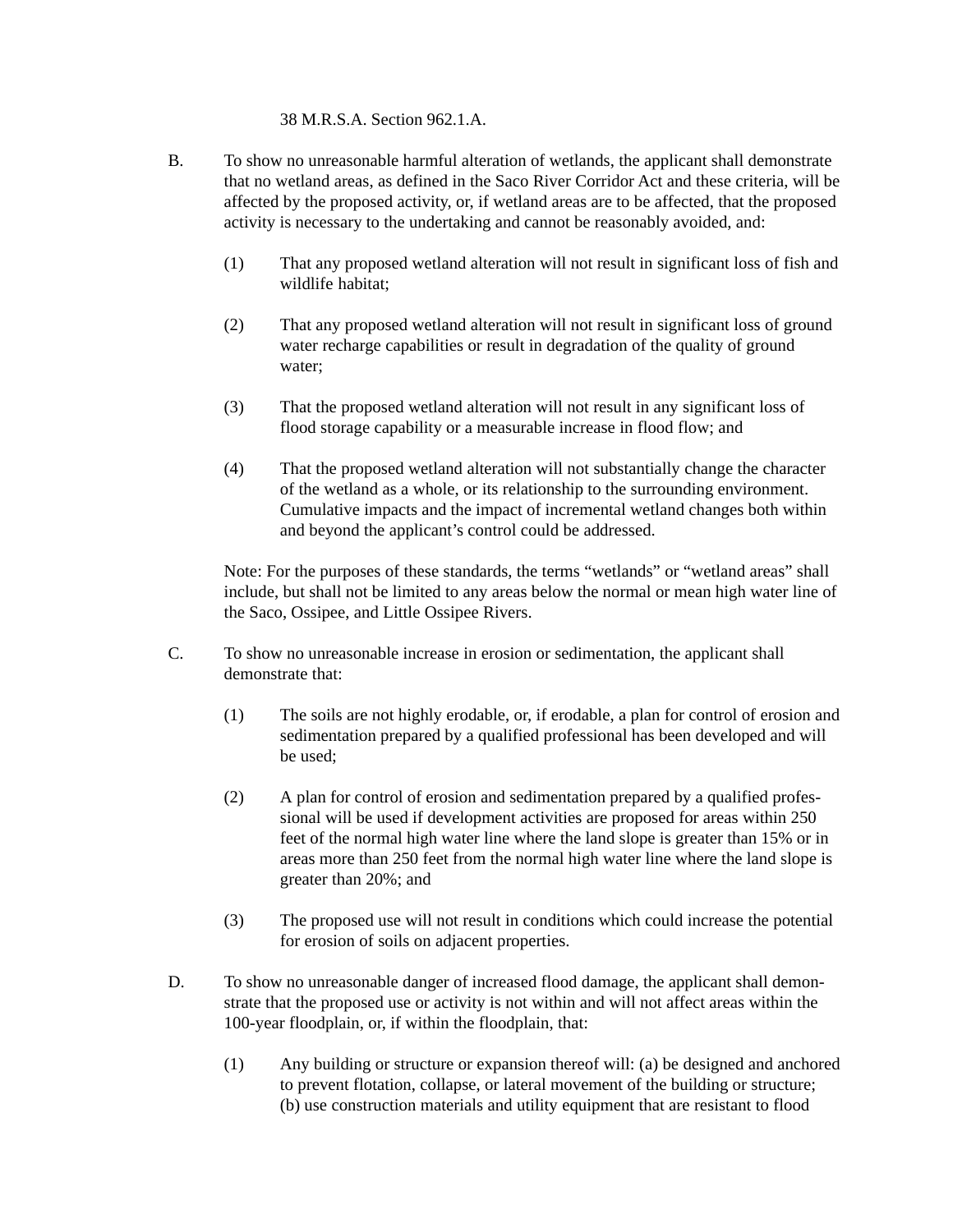38 M.R.S.A. Section 962.1.A.

- B. To show no unreasonable harmful alteration of wetlands, the applicant shall demonstrate that no wetland areas, as defined in the Saco River Corridor Act and these criteria, will be affected by the proposed activity, or, if wetland areas are to be affected, that the proposed activity is necessary to the undertaking and cannot be reasonably avoided, and:
	- (1) That any proposed wetland alteration will not result in significant loss of fish and wildlife habitat;
	- (2) That any proposed wetland alteration will not result in significant loss of ground water recharge capabilities or result in degradation of the quality of ground water;
	- (3) That the proposed wetland alteration will not result in any significant loss of flood storage capability or a measurable increase in flood flow; and
	- (4) That the proposed wetland alteration will not substantially change the character of the wetland as a whole, or its relationship to the surrounding environment. Cumulative impacts and the impact of incremental wetland changes both within and beyond the applicant's control could be addressed.

Note: For the purposes of these standards, the terms "wetlands" or "wetland areas" shall include, but shall not be limited to any areas below the normal or mean high water line of the Saco, Ossipee, and Little Ossipee Rivers.

- C. To show no unreasonable increase in erosion or sedimentation, the applicant shall demonstrate that:
	- (1) The soils are not highly erodable, or, if erodable, a plan for control of erosion and sedimentation prepared by a qualified professional has been developed and will be used;
	- (2) A plan for control of erosion and sedimentation prepared by a qualified professional will be used if development activities are proposed for areas within 250 feet of the normal high water line where the land slope is greater than 15% or in areas more than 250 feet from the normal high water line where the land slope is greater than 20%; and
	- (3) The proposed use will not result in conditions which could increase the potential for erosion of soils on adjacent properties.
- D. To show no unreasonable danger of increased flood damage, the applicant shall demonstrate that the proposed use or activity is not within and will not affect areas within the 100-year floodplain, or, if within the floodplain, that:
	- (1) Any building or structure or expansion thereof will: (a) be designed and anchored to prevent flotation, collapse, or lateral movement of the building or structure; (b) use construction materials and utility equipment that are resistant to flood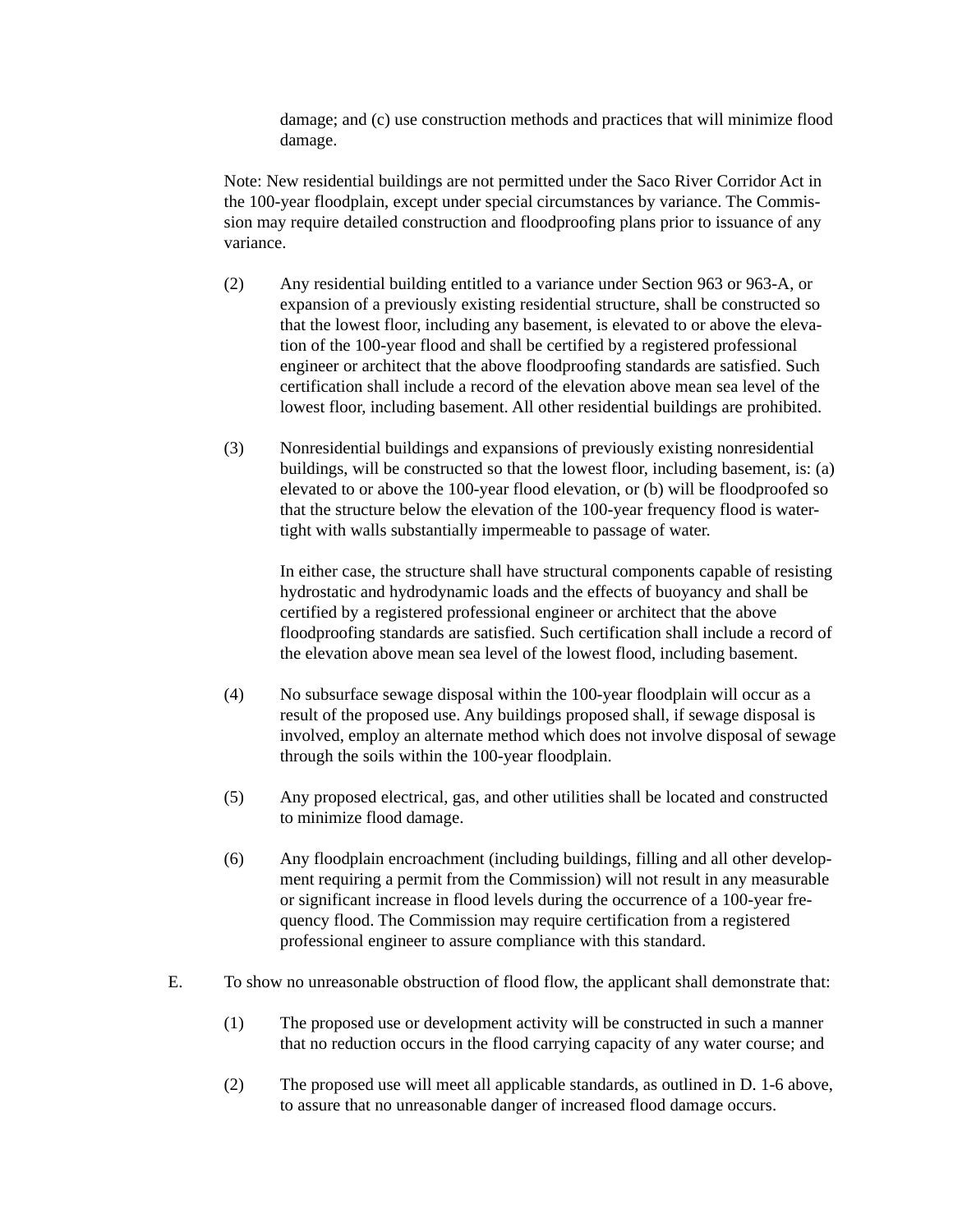damage; and (c) use construction methods and practices that will minimize flood damage.

Note: New residential buildings are not permitted under the Saco River Corridor Act in the 100-year floodplain, except under special circumstances by variance. The Commission may require detailed construction and floodproofing plans prior to issuance of any variance.

- (2) Any residential building entitled to a variance under Section 963 or 963-A, or expansion of a previously existing residential structure, shall be constructed so that the lowest floor, including any basement, is elevated to or above the elevation of the 100-year flood and shall be certified by a registered professional engineer or architect that the above floodproofing standards are satisfied. Such certification shall include a record of the elevation above mean sea level of the lowest floor, including basement. All other residential buildings are prohibited.
- (3) Nonresidential buildings and expansions of previously existing nonresidential buildings, will be constructed so that the lowest floor, including basement, is: (a) elevated to or above the 100-year flood elevation, or (b) will be floodproofed so that the structure below the elevation of the 100-year frequency flood is watertight with walls substantially impermeable to passage of water.

In either case, the structure shall have structural components capable of resisting hydrostatic and hydrodynamic loads and the effects of buoyancy and shall be certified by a registered professional engineer or architect that the above floodproofing standards are satisfied. Such certification shall include a record of the elevation above mean sea level of the lowest flood, including basement.

- (4) No subsurface sewage disposal within the 100-year floodplain will occur as a result of the proposed use. Any buildings proposed shall, if sewage disposal is involved, employ an alternate method which does not involve disposal of sewage through the soils within the 100-year floodplain.
- (5) Any proposed electrical, gas, and other utilities shall be located and constructed to minimize flood damage.
- (6) Any floodplain encroachment (including buildings, filling and all other development requiring a permit from the Commission) will not result in any measurable or significant increase in flood levels during the occurrence of a 100-year frequency flood. The Commission may require certification from a registered professional engineer to assure compliance with this standard.
- E. To show no unreasonable obstruction of flood flow, the applicant shall demonstrate that:
	- (1) The proposed use or development activity will be constructed in such a manner that no reduction occurs in the flood carrying capacity of any water course; and
	- (2) The proposed use will meet all applicable standards, as outlined in D. 1-6 above, to assure that no unreasonable danger of increased flood damage occurs.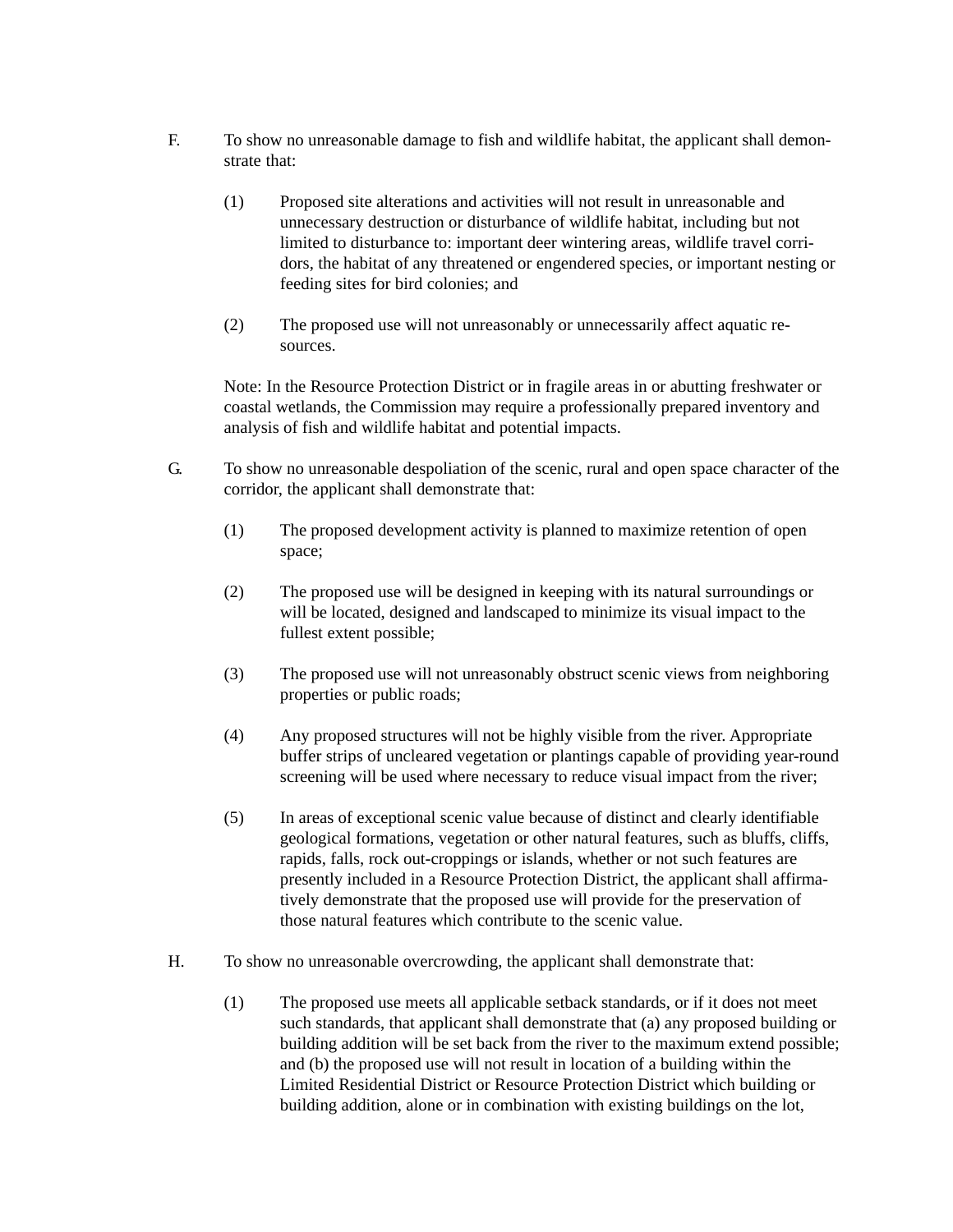- F. To show no unreasonable damage to fish and wildlife habitat, the applicant shall demonstrate that:
	- (1) Proposed site alterations and activities will not result in unreasonable and unnecessary destruction or disturbance of wildlife habitat, including but not limited to disturbance to: important deer wintering areas, wildlife travel corridors, the habitat of any threatened or engendered species, or important nesting or feeding sites for bird colonies; and
	- (2) The proposed use will not unreasonably or unnecessarily affect aquatic resources.

Note: In the Resource Protection District or in fragile areas in or abutting freshwater or coastal wetlands, the Commission may require a professionally prepared inventory and analysis of fish and wildlife habitat and potential impacts.

- G. To show no unreasonable despoliation of the scenic, rural and open space character of the corridor, the applicant shall demonstrate that:
	- (1) The proposed development activity is planned to maximize retention of open space;
	- (2) The proposed use will be designed in keeping with its natural surroundings or will be located, designed and landscaped to minimize its visual impact to the fullest extent possible;
	- (3) The proposed use will not unreasonably obstruct scenic views from neighboring properties or public roads;
	- (4) Any proposed structures will not be highly visible from the river. Appropriate buffer strips of uncleared vegetation or plantings capable of providing year-round screening will be used where necessary to reduce visual impact from the river;
	- (5) In areas of exceptional scenic value because of distinct and clearly identifiable geological formations, vegetation or other natural features, such as bluffs, cliffs, rapids, falls, rock out-croppings or islands, whether or not such features are presently included in a Resource Protection District, the applicant shall affirmatively demonstrate that the proposed use will provide for the preservation of those natural features which contribute to the scenic value.
- H. To show no unreasonable overcrowding, the applicant shall demonstrate that:
	- (1) The proposed use meets all applicable setback standards, or if it does not meet such standards, that applicant shall demonstrate that (a) any proposed building or building addition will be set back from the river to the maximum extend possible; and (b) the proposed use will not result in location of a building within the Limited Residential District or Resource Protection District which building or building addition, alone or in combination with existing buildings on the lot,